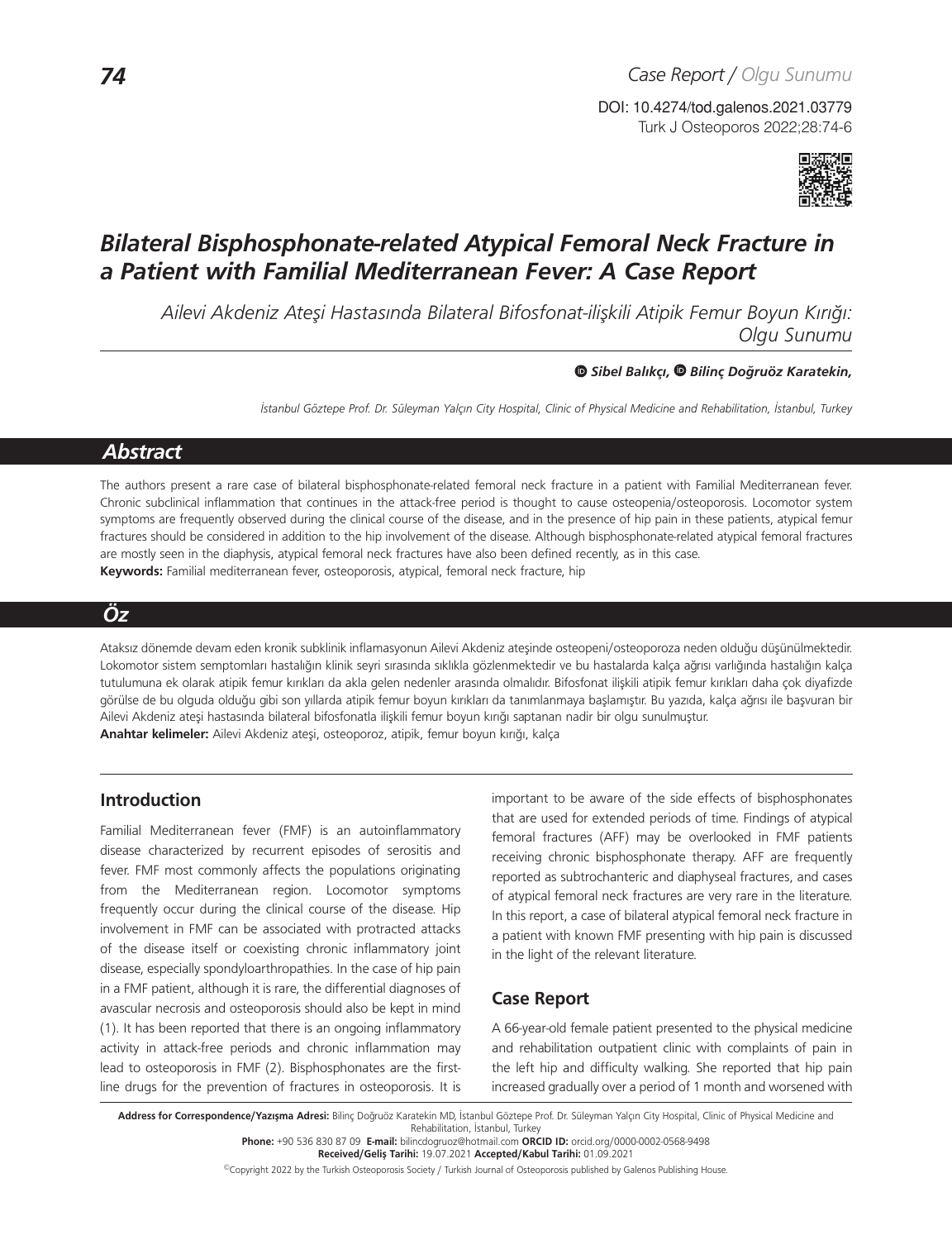Turk J Osteoporos 2022;28:74-6 DOI: 10.4274/tod.galenos.2021.03779



# *Bilateral Bisphosphonate-related Atypical Femoral Neck Fracture in a Patient with Familial Mediterranean Fever: A Case Report*

*Ailevi Akdeniz Ateşi Hastasında Bilateral Bifosfonat-ilişkili Atipik Femur Boyun Kırığı: Olgu Sunumu*

*Sibel Balıkçı, Bilinç Doğruöz Karatekin,* 

*İstanbul Göztepe Prof. Dr. Süleyman Yalçın City Hospital, Clinic of Physical Medicine and Rehabilitation, İstanbul, Turkey* 

## *Abstract*

The authors present a rare case of bilateral bisphosphonate-related femoral neck fracture in a patient with Familial Mediterranean fever. Chronic subclinical inflammation that continues in the attack-free period is thought to cause osteopenia/osteoporosis. Locomotor system symptoms are frequently observed during the clinical course of the disease, and in the presence of hip pain in these patients, atypical femur fractures should be considered in addition to the hip involvement of the disease. Although bisphosphonate-related atypical femoral fractures are mostly seen in the diaphysis, atypical femoral neck fractures have also been defined recently, as in this case. **Keywords:** Familial mediterranean fever, osteoporosis, atypical, femoral neck fracture, hip

## *Öz*

Ataksız dönemde devam eden kronik subklinik inflamasyonun Ailevi Akdeniz ateşinde osteopeni/osteoporoza neden olduğu düşünülmektedir. Lokomotor sistem semptomları hastalığın klinik seyri sırasında sıklıkla gözlenmektedir ve bu hastalarda kalça ağrısı varlığında hastalığın kalça tutulumuna ek olarak atipik femur kırıkları da akla gelen nedenler arasında olmalıdır. Bifosfonat ilişkili atipik femur kırıkları daha çok diyafizde görülse de bu olguda olduğu gibi son yıllarda atipik femur boyun kırıkları da tanımlanmaya başlamıştır. Bu yazıda, kalça ağrısı ile başvuran bir Ailevi Akdeniz ateşi hastasında bilateral bifosfonatla ilişkili femur boyun kırığı saptanan nadir bir olgu sunulmuştur. **Anahtar kelimeler:** Ailevi Akdeniz ateşi, osteoporoz, atipik, femur boyun kırığı, kalça

## **Introduction**

Familial Mediterranean fever (FMF) is an autoinflammatory disease characterized by recurrent episodes of serositis and fever. FMF most commonly affects the populations originating from the Mediterranean region. Locomotor symptoms frequently occur during the clinical course of the disease. Hip involvement in FMF can be associated with protracted attacks of the disease itself or coexisting chronic inflammatory joint disease, especially spondyloarthropathies. In the case of hip pain in a FMF patient, although it is rare, the differential diagnoses of avascular necrosis and osteoporosis should also be kept in mind (1). It has been reported that there is an ongoing inflammatory activity in attack-free periods and chronic inflammation may lead to osteoporosis in FMF (2). Bisphosphonates are the firstline drugs for the prevention of fractures in osteoporosis. It is

important to be aware of the side effects of bisphosphonates that are used for extended periods of time. Findings of atypical femoral fractures (AFF) may be overlooked in FMF patients receiving chronic bisphosphonate therapy. AFF are frequently reported as subtrochanteric and diaphyseal fractures, and cases of atypical femoral neck fractures are very rare in the literature. In this report, a case of bilateral atypical femoral neck fracture in a patient with known FMF presenting with hip pain is discussed in the light of the relevant literature.

## **Case Report**

A 66-year-old female patient presented to the physical medicine and rehabilitation outpatient clinic with complaints of pain in the left hip and difficulty walking. She reported that hip pain increased gradually over a period of 1 month and worsened with

Address for Correspondence/Yazışma Adresi: Bilinç Doğruöz Karatekin MD, İstanbul Göztepe Prof. Dr. Süleyman Yalçın City Hospital, Clinic of Physical Medicine and Rehabilitation, İstanbul, Turkey **Phone:** +90 536 830 87 09 **E-mail:** bilincdogruoz@hotmail.com **ORCID ID:** orcid.org/0000-0002-0568-9498

©Copyright 2022 by the Turkish Osteoporosis Society / Turkish Journal of Osteoporosis published by Galenos Publishing House.

**Received/Geliş Tarihi:** 19.07.2021 **Accepted/Kabul Tarihi:** 01.09.2021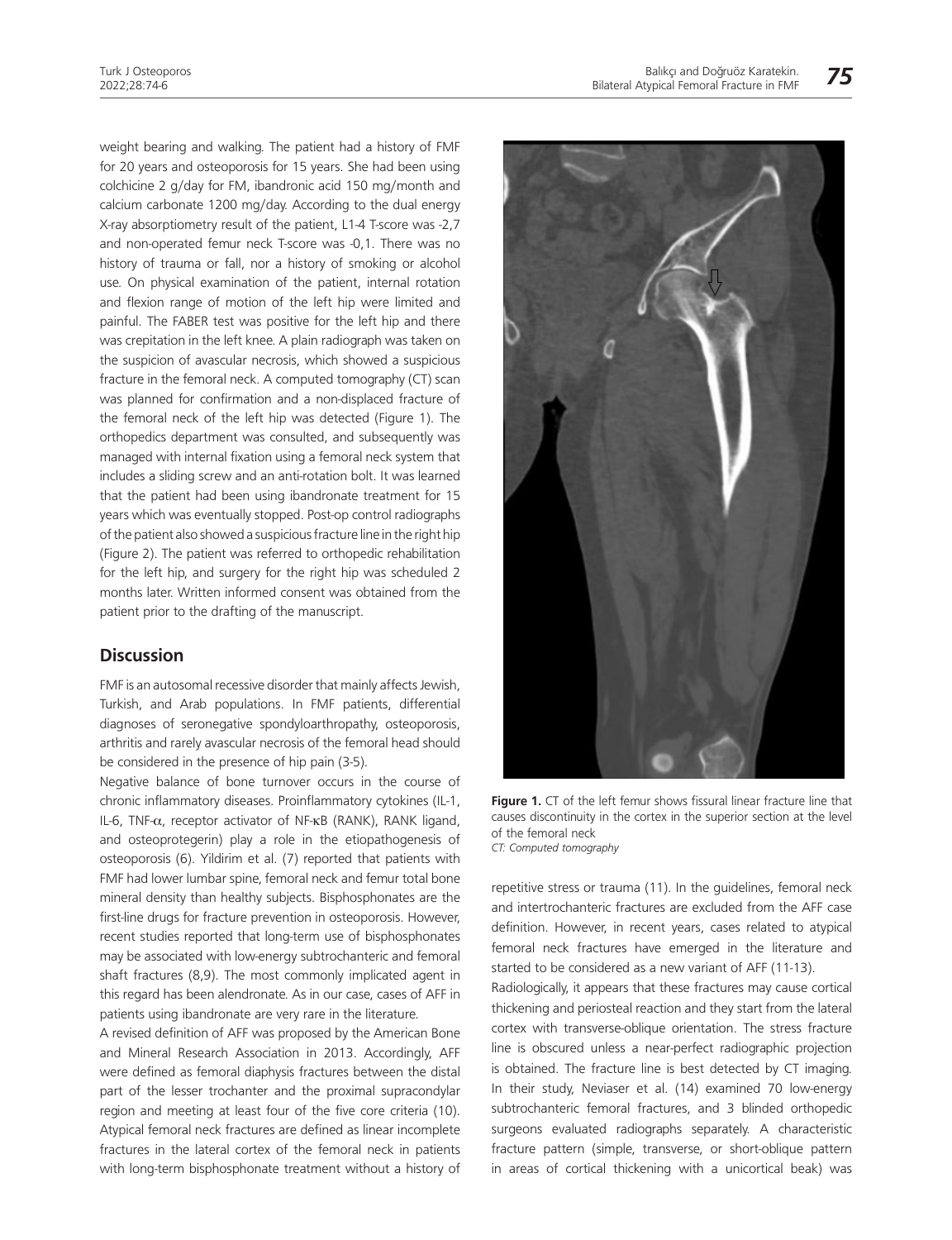weight bearing and walking. The patient had a history of FMF for 20 years and osteoporosis for 15 years. She had been using colchicine 2 g/day for FM, ibandronic acid 150 mg/month and calcium carbonate 1200 mg/day. According to the dual energy X-ray absorptiometry result of the patient, L1-4 T-score was -2,7 and non-operated femur neck T-score was -0,1. There was no history of trauma or fall, nor a history of smoking or alcohol use. On physical examination of the patient, internal rotation and flexion range of motion of the left hip were limited and painful. The FABER test was positive for the left hip and there was crepitation in the left knee. A plain radiograph was taken on the suspicion of avascular necrosis, which showed a suspicious fracture in the femoral neck. A computed tomography (CT) scan was planned for confirmation and a non-displaced fracture of the femoral neck of the left hip was detected (Figure 1). The orthopedics department was consulted, and subsequently was managed with internal fixation using a femoral neck system that includes a sliding screw and an anti-rotation bolt. It was learned that the patient had been using ibandronate treatment for 15 years which was eventually stopped. Post-op control radiographs of the patient also showed a suspicious fracture line in the right hip (Figure 2). The patient was referred to orthopedic rehabilitation for the left hip, and surgery for the right hip was scheduled 2 months later. Written informed consent was obtained from the patient prior to the drafting of the manuscript.

### **Discussion**

FMF is an autosomal recessive disorder that mainly affects Jewish, Turkish, and Arab populations. In FMF patients, differential diagnoses of seronegative spondyloarthropathy, osteoporosis, arthritis and rarely avascular necrosis of the femoral head should be considered in the presence of hip pain (3-5).

Negative balance of bone turnover occurs in the course of chronic inflammatory diseases. Proinflammatory cytokines (IL-1, IL-6, TNF-α, receptor activator of NF-κB (RANK), RANK ligand, and osteoprotegerin) play a role in the etiopathogenesis of osteoporosis (6). Yildirim et al. (7) reported that patients with FMF had lower lumbar spine, femoral neck and femur total bone mineral density than healthy subjects. Bisphosphonates are the first-line drugs for fracture prevention in osteoporosis. However, recent studies reported that long-term use of bisphosphonates may be associated with low-energy subtrochanteric and femoral shaft fractures (8,9). The most commonly implicated agent in this regard has been alendronate. As in our case, cases of AFF in patients using ibandronate are very rare in the literature.

A revised definition of AFF was proposed by the American Bone and Mineral Research Association in 2013. Accordingly, AFF were defined as femoral diaphysis fractures between the distal part of the lesser trochanter and the proximal supracondylar region and meeting at least four of the five core criteria (10). Atypical femoral neck fractures are defined as linear incomplete fractures in the lateral cortex of the femoral neck in patients with long-term bisphosphonate treatment without a history of



Figure 1. CT of the left femur shows fissural linear fracture line that causes discontinuity in the cortex in the superior section at the level of the femoral neck *CT: Computed tomography*

repetitive stress or trauma (11). In the guidelines, femoral neck and intertrochanteric fractures are excluded from the AFF case definition. However, in recent years, cases related to atypical femoral neck fractures have emerged in the literature and started to be considered as a new variant of AFF (11-13).

Radiologically, it appears that these fractures may cause cortical thickening and periosteal reaction and they start from the lateral cortex with transverse-oblique orientation. The stress fracture line is obscured unless a near-perfect radiographic projection is obtained. The fracture line is best detected by CT imaging. In their study, Neviaser et al. (14) examined 70 low-energy subtrochanteric femoral fractures, and 3 blinded orthopedic surgeons evaluated radiographs separately. A characteristic fracture pattern (simple, transverse, or short-oblique pattern in areas of cortical thickening with a unicortical beak) was